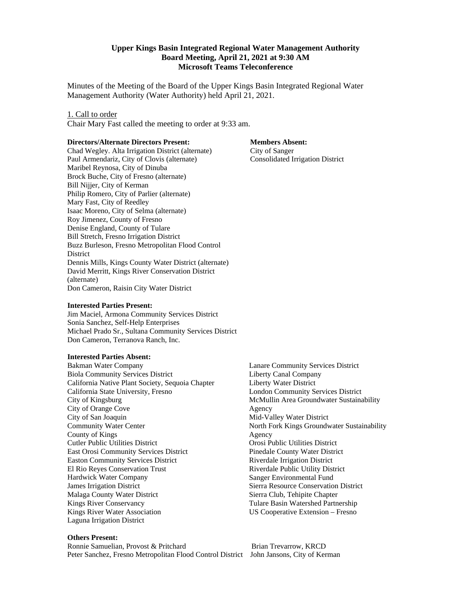#### **Upper Kings Basin Integrated Regional Water Management Authority Board Meeting, April 21, 2021 at 9:30 AM Microsoft Teams Teleconference**

Minutes of the Meeting of the Board of the Upper Kings Basin Integrated Regional Water Management Authority (Water Authority) held April 21, 2021.

#### 1. Call to order

Chair Mary Fast called the meeting to order at 9:33 am.

#### **Directors/Alternate Directors Present:**

Chad Wegley. Alta Irrigation District (alternate) Paul Armendariz, City of Clovis (alternate) Maribel Reynosa, City of Dinuba Brock Buche, City of Fresno (alternate) Bill Nijjer, City of Kerman Philip Romero, City of Parlier (alternate) Mary Fast, City of Reedley Isaac Moreno, City of Selma (alternate) Roy Jimenez, County of Fresno Denise England, County of Tulare Bill Stretch, Fresno Irrigation District Buzz Burleson, Fresno Metropolitan Flood Control **District** Dennis Mills, Kings County Water District (alternate) David Merritt, Kings River Conservation District (alternate) Don Cameron, Raisin City Water District

#### **Interested Parties Present:**

Jim Maciel, Armona Community Services District Sonia Sanchez, Self-Help Enterprises Michael Prado Sr., Sultana Community Services District Don Cameron, Terranova Ranch, Inc.

#### **Interested Parties Absent:**

Bakman Water Company Biola Community Services District California Native Plant Society, Sequoia Chapter California State University, Fresno City of Kingsburg City of Orange Cove City of San Joaquin Community Water Center County of Kings Cutler Public Utilities District East Orosi Community Services District Easton Community Services District El Rio Reyes Conservation Trust Hardwick Water Company James Irrigation District Malaga County Water District Kings River Conservancy Kings River Water Association Laguna Irrigation District

# **Members Absent:**

 City of Sanger Consolidated Irrigation District

Lanare Community Services District Liberty Canal Company Liberty Water District London Community Services District McMullin Area Groundwater Sustainability Agency Mid-Valley Water District North Fork Kings Groundwater Sustainability Agency Orosi Public Utilities District Pinedale County Water District Riverdale Irrigation District Riverdale Public Utility District Sanger Environmental Fund Sierra Resource Conservation District Sierra Club, Tehipite Chapter Tulare Basin Watershed Partnership US Cooperative Extension – Fresno

#### **Others Present:**

Ronnie Samuelian, Provost & Pritchard Brian Trevarrow, KRCD Peter Sanchez, Fresno Metropolitan Flood Control District John Jansons, City of Kerman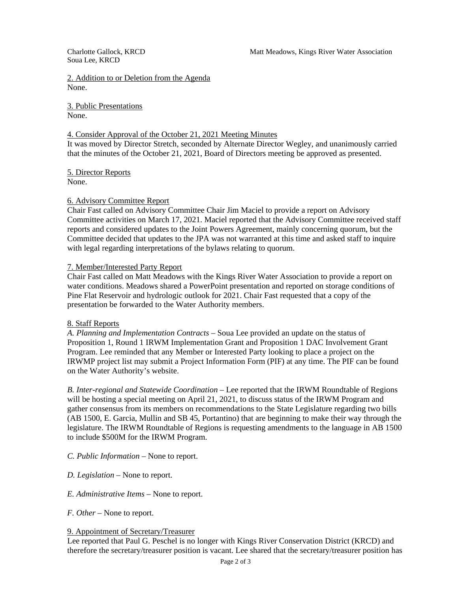Soua Lee, KRCD

2. Addition to or Deletion from the Agenda None.

3. Public Presentations None.

# 4. Consider Approval of the October 21, 2021 Meeting Minutes

It was moved by Director Stretch, seconded by Alternate Director Wegley, and unanimously carried that the minutes of the October 21, 2021, Board of Directors meeting be approved as presented.

5. Director Reports None.

# 6. Advisory Committee Report

Chair Fast called on Advisory Committee Chair Jim Maciel to provide a report on Advisory Committee activities on March 17, 2021. Maciel reported that the Advisory Committee received staff reports and considered updates to the Joint Powers Agreement, mainly concerning quorum, but the Committee decided that updates to the JPA was not warranted at this time and asked staff to inquire with legal regarding interpretations of the bylaws relating to quorum.

#### 7. Member/Interested Party Report

Chair Fast called on Matt Meadows with the Kings River Water Association to provide a report on water conditions. Meadows shared a PowerPoint presentation and reported on storage conditions of Pine Flat Reservoir and hydrologic outlook for 2021. Chair Fast requested that a copy of the presentation be forwarded to the Water Authority members.

#### 8. Staff Reports

*A. Planning and Implementation Contracts* – Soua Lee provided an update on the status of Proposition 1, Round 1 IRWM Implementation Grant and Proposition 1 DAC Involvement Grant Program. Lee reminded that any Member or Interested Party looking to place a project on the IRWMP project list may submit a Project Information Form (PIF) at any time. The PIF can be found on the Water Authority's website.

*B. Inter-regional and Statewide Coordination* – Lee reported that the IRWM Roundtable of Regions will be hosting a special meeting on April 21, 2021, to discuss status of the IRWM Program and gather consensus from its members on recommendations to the State Legislature regarding two bills (AB 1500, E. Garcia, Mullin and SB 45, Portantino) that are beginning to make their way through the legislature. The IRWM Roundtable of Regions is requesting amendments to the language in AB 1500 to include \$500M for the IRWM Program.

- *C. Public Information –* None to report.
- *D. Legislation –* None to report.
- *E. Administrative Items –* None to report.
- *F. Other –* None to report.

#### 9. Appointment of Secretary/Treasurer

Lee reported that Paul G. Peschel is no longer with Kings River Conservation District (KRCD) and therefore the secretary/treasurer position is vacant. Lee shared that the secretary/treasurer position has